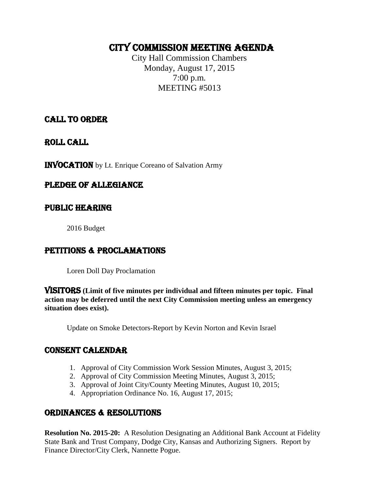# CITY COMMISSION Meeting AGENDA

City Hall Commission Chambers Monday, August 17, 2015 7:00 p.m. MEETING #5013

# CALL TO ORDER

ROLL CALL

INVOCATION by Lt. Enrique Coreano of Salvation Army

# PLEDGE OF ALLEGIANCE

# PUBLIC HEARING

2016 Budget

# PETITIONS & PROCLAMATIONS

Loren Doll Day Proclamation

VISITORS **(Limit of five minutes per individual and fifteen minutes per topic. Final action may be deferred until the next City Commission meeting unless an emergency situation does exist).**

Update on Smoke Detectors-Report by Kevin Norton and Kevin Israel

# CONSENT CALENDAR

- 1. Approval of City Commission Work Session Minutes, August 3, 2015;
- 2. Approval of City Commission Meeting Minutes, August 3, 2015;
- 3. Approval of Joint City/County Meeting Minutes, August 10, 2015;
- 4. Appropriation Ordinance No. 16, August 17, 2015;

# ORDINANCES & RESOLUTIONS

**Resolution No. 2015-20:** A Resolution Designating an Additional Bank Account at Fidelity State Bank and Trust Company, Dodge City, Kansas and Authorizing Signers. Report by Finance Director/City Clerk, Nannette Pogue.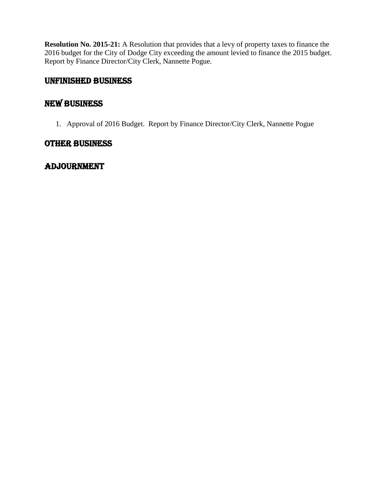**Resolution No. 2015-21:** A Resolution that provides that a levy of property taxes to finance the 2016 budget for the City of Dodge City exceeding the amount levied to finance the 2015 budget. Report by Finance Director/City Clerk, Nannette Pogue.

# UNFINISHED BUSINESS

# New Business

1. Approval of 2016 Budget. Report by Finance Director/City Clerk, Nannette Pogue

# OTHER BUSINESS

# **ADJOURNMENT**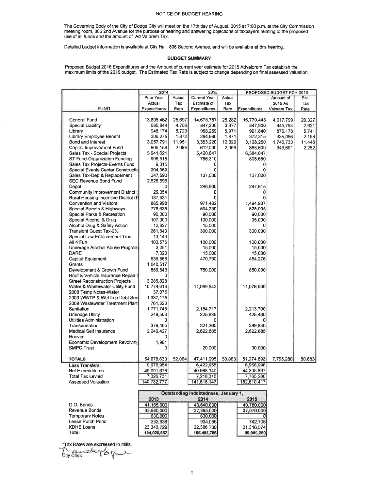#### NOTICE OF BUDGET HEARING

The Governing Body of the City of Dodge City will meet on the 17th day of August, 2015 at 7:00 p.m. at the City Commission meeting room, 806 2nd Avenue for the purpose of hearing and answering objections of taxpayers relating to the proposed<br>use of all funds and the amount of Ad Valorem Tax.

Detailed budget information is available at City Hall, 806 Second Avenue, and will be available at this hearing.

#### **BUDGET SUMMARY**

Proposed Budget 2016 Expenditures and the Amount of current year estimate for 2015 Advalorem Tax establish the<br>maximum limits of the 2016 budget. The Estimated Tax Rate is subject to change depending on final assessed valu

|                                       | 2014                 |        | 2015                |        | PROPOSED BUDGET FOR 2016 |             |        |
|---------------------------------------|----------------------|--------|---------------------|--------|--------------------------|-------------|--------|
|                                       | Prior Year           | Actual | <b>Current Year</b> | Actual |                          | Amount of   | Est.   |
|                                       | Actual               | Tax    | <b>Estimate of</b>  | Tax    |                          | 2015 Ad     | Tax    |
| <b>FUND</b>                           | <b>Expenditures</b>  | Rate   | Expenditures        | Rate   | Expenditures             | Valorem Tax | Rate   |
|                                       |                      |        |                     |        |                          |             |        |
| General Fund                          | 13,805,462           | 25.697 | 14,678,757          | 25.282 | 16,770,443               | 4,017,799   | 26.327 |
| Special Liability                     | 585,844              | 4.756  | 847,200             | 3.377  | 847,900                  | 445,794     | 2.921  |
| Library                               | 948,174              | 5.723  | 968,259             | 5.971  | 991,840                  | 876,178     | 5.741  |
| Library Employee Benefit              | 306,275              | 1.872  | 294,660             | 1.871  | 372,315                  | 335,086     | 2.196  |
| Bond and Interest                     | 3,057,791            | 11.951 | 3,353,220           | 12.326 | 3,128,250                | 1,746,733   | 11.446 |
| Capital Improvement Fund              | 605,156              | 2.065  | 612,000             | 2,056  | 388,600                  | 343,691     | 2.252  |
| Sales Tax - Special Projects          | 5,941,621            |        | 5,420,847           |        | 6,584,647                |             |        |
| ST Fund-Organization Funding          | 906,515              |        | 786,310             |        | 805,680                  |             |        |
| Sales Tax Projects-Events Fund        | 9,315                |        |                     |        |                          |             |        |
| Special Events Center Construction    | 204,369              |        |                     |        |                          |             |        |
| Sales Tax-Dep & Replacement           | 347,590              |        | 137,000             |        | 137,000                  |             |        |
| SEC Revenue Bond Fund                 | 2,526,696            |        |                     |        |                          |             |        |
| Depot                                 | Ω                    |        | 246,600             |        | 247,615                  |             |        |
| Community Improvement District (      | 29,354               |        | 0                   |        | 0                        |             |        |
| Rural Housing Incentive District (R   | 137,531              |        | o                   |        |                          |             |        |
| <b>Convention and Visitors</b>        | 885,998              |        | 971.482             |        | 1,494,937                |             |        |
| Special Streets & Highways            | 776,635              |        | 804,230             |        | 828,005                  |             |        |
| Special Parks & Recreation            | 90,000               |        | 90,000              |        | 90,000                   |             |        |
| Special Alcohol & Drug                | 107,000              |        | 100,000             |        | 95,000                   |             |        |
| Alcohol Drug & Safety Action          | 12,827               |        | 15,000              |        |                          |             |        |
| <b>Transient Guest Tax-2%</b>         | 261,840              |        | 300,000             |        | 300,000                  |             |        |
| Special Law Enforcement Trust         | 13,143               |        |                     |        |                          |             |        |
| All 4 Fun                             | 103,576              |        | 100,000             |        | 100,000                  |             |        |
| Underage Alcohol Abuse Program        | 3,251                |        | 15,000              |        | 15,000                   |             |        |
| <b>DARE</b>                           | 7,323                |        | 15,000              |        | 15,000                   |             |        |
| Capital Equipment                     | 535,566              |        | 470,790             |        | 454,276                  |             |        |
| Grants                                | 1,040,517            |        |                     |        |                          |             |        |
| Development & Growth Fund             | 889,843              |        | 750,000             |        | 850,000                  |             |        |
| Roof & Vehicle Insurance Repair F     |                      |        |                     |        |                          |             |        |
| <b>Street Reconstruction Projects</b> | 3,285,828            |        |                     |        |                          |             |        |
| Water & Wastewater Utility Fund       | 10,774,616           |        | 11,089,943          |        | 11,076,500               |             |        |
| 2008 Temp Notes-Water                 | 37,375               |        |                     |        |                          |             |        |
| 2003 WWTP & Wtrl Imp Debt Ser         |                      |        |                     |        |                          |             |        |
| 2009 Wastewater Treatment Plant       | 1,337,175<br>761,323 |        |                     |        |                          |             |        |
| Sanitation                            |                      |        | 2,154,717           |        |                          |             |        |
|                                       | 1,771,745            |        |                     |        | 2,213,700<br>425,460     |             |        |
| <b>Drainage Utility</b>               | 249,503              |        | 225,835             |        |                          |             |        |
| Utilities Administration              | 379,465              |        |                     |        |                          |             |        |
| Transportation                        |                      |        | 321,360             |        | 389,840                  |             |        |
| Medical Self Insurance                | 2,240,427            |        | 2,622,885           |        | 2,622,885                |             |        |
| Hoover                                |                      |        |                     |        |                          |             |        |
| Economic Development Revolving        | 1,961                |        |                     |        |                          |             |        |
| <b>SMPC Trust</b>                     | 0                    |        | 20,000              |        | 30,000                   |             |        |
| <b>TOTALS</b>                         | 54,978,630           | 52.064 | 47,411,095          | 50.883 | 51,274,893               | 7,765,280   | 50.883 |
| Less Transfers:                       | 9,976,954            |        | 6,422,955           |        | 6,968,996                |             |        |
| <b>Net Expenditures</b>               | 45,001,676           |        | 40,988,140          |        | 44,305,897               |             |        |
| Total Tax Levied                      | 7,326,731            |        | 7,218,316           |        | 7,765,280                |             |        |
| Assessed Valuation                    | 140,732,777          |        | 141,515,147         |        | 152,610,417              |             |        |

|                   | Outstanding Indebtedness, January 1, |             |            |  |
|-------------------|--------------------------------------|-------------|------------|--|
|                   | 2013                                 | 2014        | 2015       |  |
| G.O. Bonds        | 41,165,000                           | 43.640.000  | 40,780,000 |  |
| Revenue Bonds     | 38,660,000                           | 37,895,000  | 37,070,000 |  |
| Temporary Notes   | 630,000                              | 630,000     |            |  |
| Lease Purch Princ | 232,938                              | 934,056     | 742,706    |  |
| <b>KDHE Loans</b> | 23,340,729                           | 22,386,730  | 21,316,574 |  |
| Total             | 104,028,667                          | 105,485,786 | 99,909,280 |  |

ax Rates are expressed in mills.

bity clerk eloy 6 p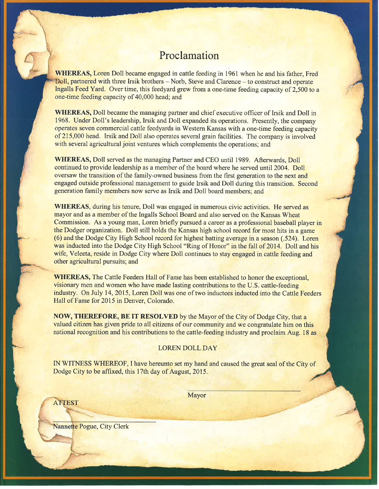# Proclamation

**WHEREAS, Loren Doll became engaged in cattle feeding in 1961 when he and his father, Fred** Doll, partnered with three Irsik brothers – Norb, Steve and Clarence – to construct and operate Ingalls Feed Yard. Over time, this feedyard grew from a one-time feeding capacity of 2.500 to a one-time feeding capacity of 40,000 head; and

**WHEREAS,** Doll became the managing partner and chief executive officer of Irsik and Doll in 1968. Under Doll's leadership, Irsik and Doll expanded its operations. Presently, the company operates seven commercial cattle feedyards in Western Kansas with a one-time feeding capacity of 215,000 head. Irsik and Doll also operates several grain facilities. The company is involved with several agricultural joint ventures which complements the operations; and

**WHEREAS, Doll served as the managing Partner and CEO until 1989. Afterwards, Doll** continued to provide leadership as a member of the board where he served until 2004. Doll oversaw the transition of the family-owned business from the first generation to the next and engaged outside professional management to guide Irsik and Doll during this transition. Second generation family members now serve as Irsik and Doll board members; and

**WHEREAS**, during his tenure, Doll was engaged in numerous civic activities. He served as mayor and as a member of the Ingalls School Board and also served on the Kansas Wheat Commission. As a young man, Loren briefly pursued a career as a professional baseball player in the Dodger organization. Doll still holds the Kansas high school record for most hits in a game (6) and the Dodge City High School record for highest batting average in a season (.524). Loren was inducted into the Dodge City High School "Ring of Honor" in the fall of 2014. Doll and his wife, Veleeta, reside in Dodge City where Doll continues to stay engaged in cattle feeding and other agricultural pursuits; and

**WHEREAS, The Cattle Feeders Hall of Fame has been established to honor the exceptional,** visionary men and women who have made lasting contributions to the U.S. cattle-feeding industry. On July 14, 2015, Loren Doll was one of two inductees inducted into the Cattle Feeders Hall of Fame for 2015 in Denver, Colorado.

NOW, THEREFORE, BE IT RESOLVED by the Mayor of the City of Dodge City, that a valued citizen has given pride to all citizens of our community and we congratulate him on this national recognition and his contributions to the cattle-feeding industry and proclaim Aug. 18 as

#### **LOREN DOLL DAY**

IN WITNESS WHEREOF, I have hereunto set my hand and caused the great seal of the City of Dodge City to be affixed, this 17th day of August, 2015.

**ATTEST** 

Mayor

Nannette Pogue, City Clerk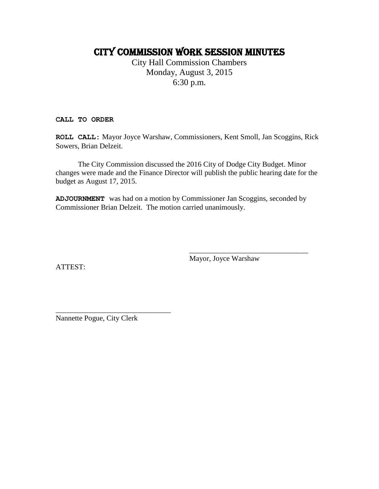# CITY COMMISSION work session MINUTES

City Hall Commission Chambers Monday, August 3, 2015 6:30 p.m.

**CALL TO ORDER**

**ROLL CALL:** Mayor Joyce Warshaw, Commissioners, Kent Smoll, Jan Scoggins, Rick Sowers, Brian Delzeit.

The City Commission discussed the 2016 City of Dodge City Budget. Minor changes were made and the Finance Director will publish the public hearing date for the budget as August 17, 2015.

**ADJOURNMENT** was had on a motion by Commissioner Jan Scoggins, seconded by Commissioner Brian Delzeit. The motion carried unanimously.

Mayor, Joyce Warshaw

\_\_\_\_\_\_\_\_\_\_\_\_\_\_\_\_\_\_\_\_\_\_\_\_\_\_\_\_\_\_\_\_

ATTEST:

\_\_\_\_\_\_\_\_\_\_\_\_\_\_\_\_\_\_\_\_\_\_\_\_\_\_\_\_\_\_\_ Nannette Pogue, City Clerk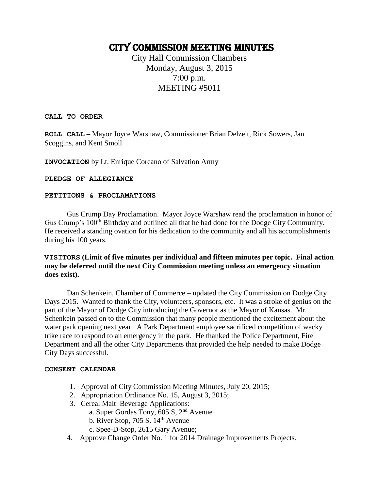# CITY COMMISSION Meeting Minutes

City Hall Commission Chambers Monday, August 3, 2015 7:00 p.m. MEETING #5011

**CALL TO ORDER**

**ROLL CALL –** Mayor Joyce Warshaw, Commissioner Brian Delzeit, Rick Sowers, Jan Scoggins, and Kent Smoll

**INVOCATION** by Lt. Enrique Coreano of Salvation Army

#### **PLEDGE OF ALLEGIANCE**

#### **PETITIONS & PROCLAMATIONS**

Gus Crump Day Proclamation. Mayor Joyce Warshaw read the proclamation in honor of Gus Crump's 100<sup>th</sup> Birthday and outlined all that he had done for the Dodge City Community. He received a standing ovation for his dedication to the community and all his accomplishments during his 100 years.

#### **VISITORS (Limit of five minutes per individual and fifteen minutes per topic. Final action may be deferred until the next City Commission meeting unless an emergency situation does exist).**

Dan Schenkein, Chamber of Commerce – updated the City Commission on Dodge City Days 2015. Wanted to thank the City, volunteers, sponsors, etc. It was a stroke of genius on the part of the Mayor of Dodge City introducing the Governor as the Mayor of Kansas. Mr. Schenkein passed on to the Commission that many people mentioned the excitement about the water park opening next year. A Park Department employee sacrificed competition of wacky trike race to respond to an emergency in the park. He thanked the Police Department, Fire Department and all the other City Departments that provided the help needed to make Dodge City Days successful.

#### **CONSENT CALENDAR**

- 1. Approval of City Commission Meeting Minutes, July 20, 2015;
- 2. Appropriation Ordinance No. 15, August 3, 2015;
- 3. Cereal Malt Beverage Applications:
	- a. Super Gordas Tony, 605 S, 2nd Avenue
	- b. River Stop, 705 S.  $14<sup>th</sup>$  Avenue
	- c. Spee-D-Stop, 2615 Gary Avenue;
- 4. Approve Change Order No. 1 for 2014 Drainage Improvements Projects.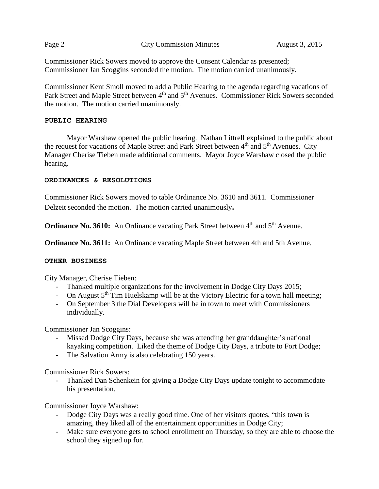|--|--|

**Page 2 City Commission Minutes** August 3, 2015

Commissioner Rick Sowers moved to approve the Consent Calendar as presented; Commissioner Jan Scoggins seconded the motion. The motion carried unanimously.

Commissioner Kent Smoll moved to add a Public Hearing to the agenda regarding vacations of Park Street and Maple Street between 4<sup>th</sup> and 5<sup>th</sup> Avenues. Commissioner Rick Sowers seconded the motion. The motion carried unanimously.

#### **PUBLIC HEARING**

Mayor Warshaw opened the public hearing. Nathan Littrell explained to the public about the request for vacations of Maple Street and Park Street between 4<sup>th</sup> and 5<sup>th</sup> Avenues. City Manager Cherise Tieben made additional comments. Mayor Joyce Warshaw closed the public hearing.

#### **ORDINANCES & RESOLUTIONS**

Commissioner Rick Sowers moved to table Ordinance No. 3610 and 3611. Commissioner Delzeit seconded the motion. The motion carried unanimously**.**

**Ordinance No. 3610:** An Ordinance vacating Park Street between 4<sup>th</sup> and 5<sup>th</sup> Avenue.

**Ordinance No. 3611:** An Ordinance vacating Maple Street between 4th and 5th Avenue.

#### **OTHER BUSINESS**

City Manager, Cherise Tieben:

- Thanked multiple organizations for the involvement in Dodge City Days 2015;
- On August  $5<sup>th</sup>$  Tim Huelskamp will be at the Victory Electric for a town hall meeting;
- On September 3 the Dial Developers will be in town to meet with Commissioners individually.

Commissioner Jan Scoggins:

- Missed Dodge City Days, because she was attending her granddaughter's national kayaking competition. Liked the theme of Dodge City Days, a tribute to Fort Dodge;
- The Salvation Army is also celebrating 150 years.

Commissioner Rick Sowers:

Thanked Dan Schenkein for giving a Dodge City Days update tonight to accommodate his presentation.

Commissioner Joyce Warshaw:

- Dodge City Days was a really good time. One of her visitors quotes, "this town is amazing, they liked all of the entertainment opportunities in Dodge City;
- Make sure everyone gets to school enrollment on Thursday, so they are able to choose the school they signed up for.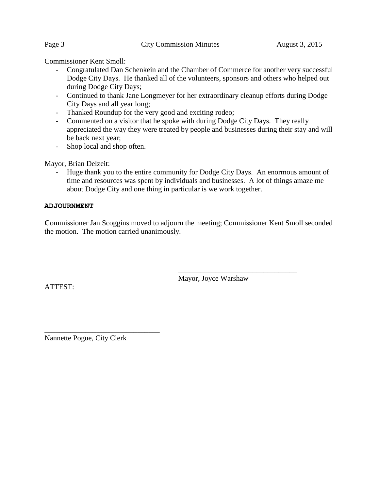Commissioner Kent Smoll:

- Congratulated Dan Schenkein and the Chamber of Commerce for another very successful Dodge City Days. He thanked all of the volunteers, sponsors and others who helped out during Dodge City Days;
- Continued to thank Jane Longmeyer for her extraordinary cleanup efforts during Dodge City Days and all year long;
- Thanked Roundup for the very good and exciting rodeo;
- Commented on a visitor that he spoke with during Dodge City Days. They really appreciated the way they were treated by people and businesses during their stay and will be back next year;
- Shop local and shop often.

Mayor, Brian Delzeit:

- Huge thank you to the entire community for Dodge City Days. An enormous amount of time and resources was spent by individuals and businesses. A lot of things amaze me about Dodge City and one thing in particular is we work together.

#### **ADJOURNMENT**

Commissioner Jan Scoggins moved to adjourn the meeting; Commissioner Kent Smoll seconded the motion. The motion carried unanimously.

Mayor, Joyce Warshaw

\_\_\_\_\_\_\_\_\_\_\_\_\_\_\_\_\_\_\_\_\_\_\_\_\_\_\_\_\_\_\_\_

ATTEST:

\_\_\_\_\_\_\_\_\_\_\_\_\_\_\_\_\_\_\_\_\_\_\_\_\_\_\_\_\_\_\_ Nannette Pogue, City Clerk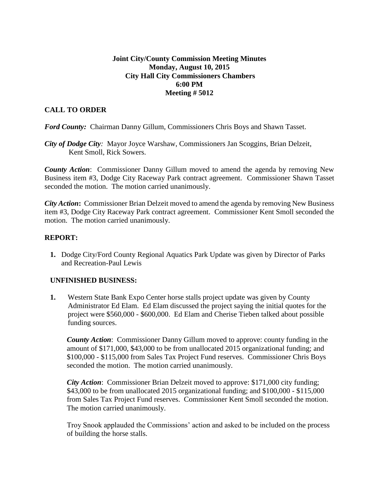#### **Joint City/County Commission Meeting Minutes Monday, August 10, 2015 City Hall City Commissioners Chambers 6:00 PM Meeting # 5012**

## **CALL TO ORDER**

*Ford County:* Chairman Danny Gillum, Commissioners Chris Boys and Shawn Tasset.

*City of Dodge City:* Mayor Joyce Warshaw, Commissioners Jan Scoggins, Brian Delzeit, Kent Smoll, Rick Sowers.

*County Action*: Commissioner Danny Gillum moved to amend the agenda by removing New Business item #3, Dodge City Raceway Park contract agreement. Commissioner Shawn Tasset seconded the motion. The motion carried unanimously.

*City Action***:** Commissioner Brian Delzeit moved to amend the agenda by removing New Business item #3, Dodge City Raceway Park contract agreement. Commissioner Kent Smoll seconded the motion. The motion carried unanimously.

### **REPORT:**

**1.** Dodge City/Ford County Regional Aquatics Park Update was given by Director of Parks and Recreation-Paul Lewis

### **UNFINISHED BUSINESS:**

**1.** Western State Bank Expo Center horse stalls project update was given by County Administrator Ed Elam. Ed Elam discussed the project saying the initial quotes for the project were \$560,000 - \$600,000. Ed Elam and Cherise Tieben talked about possible funding sources.

*County Action*: Commissioner Danny Gillum moved to approve: county funding in the amount of \$171,000, \$43,000 to be from unallocated 2015 organizational funding; and \$100,000 - \$115,000 from Sales Tax Project Fund reserves. Commissioner Chris Boys seconded the motion. The motion carried unanimously.

*City Action*: Commissioner Brian Delzeit moved to approve: \$171,000 city funding; \$43,000 to be from unallocated 2015 organizational funding; and \$100,000 - \$115,000 from Sales Tax Project Fund reserves. Commissioner Kent Smoll seconded the motion. The motion carried unanimously.

Troy Snook applauded the Commissions' action and asked to be included on the process of building the horse stalls.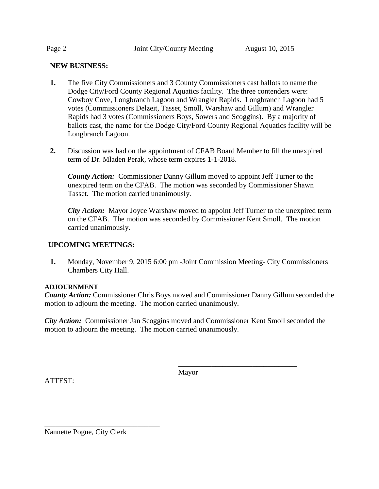#### **NEW BUSINESS:**

- **1.** The five City Commissioners and 3 County Commissioners cast ballots to name the Dodge City/Ford County Regional Aquatics facility. The three contenders were: Cowboy Cove, Longbranch Lagoon and Wrangler Rapids. Longbranch Lagoon had 5 votes (Commissioners Delzeit, Tasset, Smoll, Warshaw and Gillum) and Wrangler Rapids had 3 votes (Commissioners Boys, Sowers and Scoggins). By a majority of ballots cast, the name for the Dodge City/Ford County Regional Aquatics facility will be Longbranch Lagoon.
- **2.** Discussion was had on the appointment of CFAB Board Member to fill the unexpired term of Dr. Mladen Perak, whose term expires 1-1-2018.

*County Action:* Commissioner Danny Gillum moved to appoint Jeff Turner to the unexpired term on the CFAB. The motion was seconded by Commissioner Shawn Tasset. The motion carried unanimously.

*City Action:* Mayor Joyce Warshaw moved to appoint Jeff Turner to the unexpired term on the CFAB. The motion was seconded by Commissioner Kent Smoll. The motion carried unanimously.

#### **UPCOMING MEETINGS:**

**1.** Monday, November 9, 2015 6:00 pm -Joint Commission Meeting- City Commissioners Chambers City Hall.

#### **ADJOURNMENT**

*County Action:* Commissioner Chris Boys moved and Commissioner Danny Gillum seconded the motion to adjourn the meeting. The motion carried unanimously.

*City Action:* Commissioner Jan Scoggins moved and Commissioner Kent Smoll seconded the motion to adjourn the meeting. The motion carried unanimously.

ATTEST:

Mayor

\_\_\_\_\_\_\_\_\_\_\_\_\_\_\_\_\_\_\_\_\_\_\_\_\_\_\_\_\_\_\_\_

Nannette Pogue, City Clerk

\_\_\_\_\_\_\_\_\_\_\_\_\_\_\_\_\_\_\_\_\_\_\_\_\_\_\_\_\_\_\_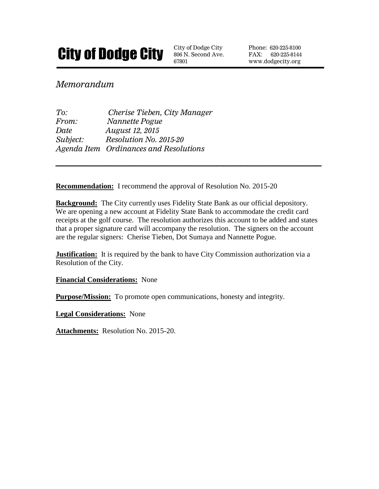

806 N. Second Ave. 67801

Phone: 620-225-8100 FAX: 620-225-8144 www.dodgecity.org

# *Memorandum*

| To:      | Cherise Tieben, City Manager           |
|----------|----------------------------------------|
| From:    | Nannette Pogue                         |
| Date     | <i>August 12, 2015</i>                 |
| Subject: | Resolution No. 2015-20                 |
|          | Agenda Item Ordinances and Resolutions |

**Recommendation:** I recommend the approval of Resolution No. 2015-20

**Background:** The City currently uses Fidelity State Bank as our official depository. We are opening a new account at Fidelity State Bank to accommodate the credit card receipts at the golf course. The resolution authorizes this account to be added and states that a proper signature card will accompany the resolution. The signers on the account are the regular signers: Cherise Tieben, Dot Sumaya and Nannette Pogue.

**\_\_\_\_\_\_\_\_\_\_\_\_\_\_\_\_\_\_\_\_\_\_\_\_\_\_\_\_\_\_\_\_\_\_\_\_\_\_\_\_\_\_\_**

**Justification:** It is required by the bank to have City Commission authorization via a Resolution of the City.

**Financial Considerations:** None

**Purpose/Mission:** To promote open communications, honesty and integrity.

**Legal Considerations:** None

**Attachments:** Resolution No. 2015-20.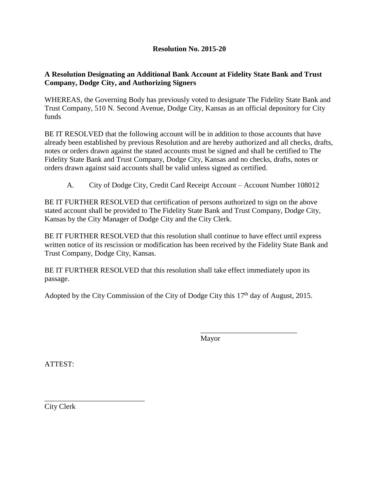## **Resolution No. 2015-20**

#### **A Resolution Designating an Additional Bank Account at Fidelity State Bank and Trust Company, Dodge City, and Authorizing Signers**

WHEREAS, the Governing Body has previously voted to designate The Fidelity State Bank and Trust Company, 510 N. Second Avenue, Dodge City, Kansas as an official depository for City funds

BE IT RESOLVED that the following account will be in addition to those accounts that have already been established by previous Resolution and are hereby authorized and all checks, drafts, notes or orders drawn against the stated accounts must be signed and shall be certified to The Fidelity State Bank and Trust Company, Dodge City, Kansas and no checks, drafts, notes or orders drawn against said accounts shall be valid unless signed as certified.

A. City of Dodge City, Credit Card Receipt Account – Account Number 108012

BE IT FURTHER RESOLVED that certification of persons authorized to sign on the above stated account shall be provided to The Fidelity State Bank and Trust Company, Dodge City, Kansas by the City Manager of Dodge City and the City Clerk.

BE IT FURTHER RESOLVED that this resolution shall continue to have effect until express written notice of its rescission or modification has been received by the Fidelity State Bank and Trust Company, Dodge City, Kansas.

BE IT FURTHER RESOLVED that this resolution shall take effect immediately upon its passage.

Adopted by the City Commission of the City of Dodge City this  $17<sup>th</sup>$  day of August, 2015.

Mayor

\_\_\_\_\_\_\_\_\_\_\_\_\_\_\_\_\_\_\_\_\_\_\_\_\_\_

ATTEST:

\_\_\_\_\_\_\_\_\_\_\_\_\_\_\_\_\_\_\_\_\_\_\_\_\_\_\_ City Clerk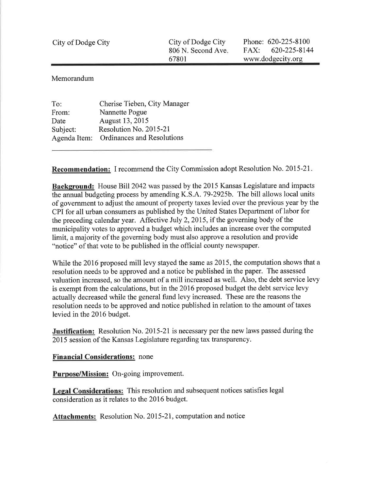| City of Dodge City | City of Dodge City | Phone: $620 - 225 - 8100$ |  |
|--------------------|--------------------|---------------------------|--|
|                    | 806 N. Second Ave. | $FAX: 620-225-8144$       |  |
|                    | 67801              | www.dodgecity.org         |  |

Memorandum

| To:          | Cherise Tieben, City Manager      |
|--------------|-----------------------------------|
| From:        | Nannette Pogue                    |
| Date         | August 13, 2015                   |
| Subject:     | Resolution No. 2015-21            |
| Agenda Item: | <b>Ordinances and Resolutions</b> |
|              |                                   |

**Recommendation:** I recommend the City Commission adopt Resolution No. 2015-21.

**Background:** House Bill 2042 was passed by the 2015 Kansas Legislature and impacts the annual budgeting process by amending K.S.A. 79-2925b. The bill allows local units of government to adjust the amount of property taxes levied over the previous year by the CPI for all urban consumers as published by the United States Department of labor for the preceding calendar year. Affective July 2, 2015, if the governing body of the municipality votes to approved a budget which includes an increase over the computed limit, a majority of the governing body must also approve a resolution and provide "notice" of that vote to be published in the official county newspaper.

While the 2016 proposed mill levy stayed the same as 2015, the computation shows that a resolution needs to be approved and a notice be published in the paper. The assessed valuation increased, so the amount of a mill increased as well. Also, the debt service levy is exempt from the calculations, but in the 2016 proposed budget the debt service levy actually decreased while the general fund levy increased. These are the reasons the resolution needs to be approved and notice published in relation to the amount of taxes levied in the 2016 budget.

**Justification:** Resolution No. 2015-21 is necessary per the new laws passed during the 2015 session of the Kansas Legislature regarding tax transparency.

**Financial Considerations:** none

Purpose/Mission: On-going improvement.

Legal Considerations: This resolution and subsequent notices satisfies legal consideration as it relates to the 2016 budget.

Attachments: Resolution No. 2015-21, computation and notice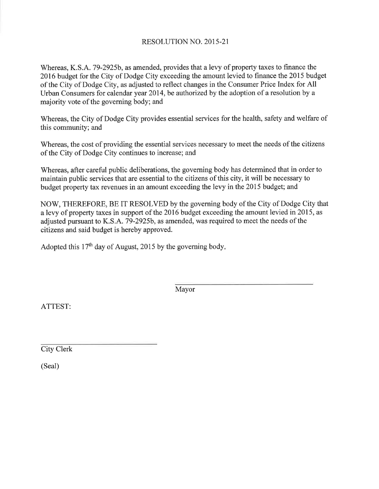## **RESOLUTION NO. 2015-21**

Whereas, K.S.A. 79-2925b, as amended, provides that a levy of property taxes to finance the 2016 budget for the City of Dodge City exceeding the amount levied to finance the 2015 budget of the City of Dodge City, as adjusted to reflect changes in the Consumer Price Index for All Urban Consumers for calendar year 2014, be authorized by the adoption of a resolution by a majority vote of the governing body; and

Whereas, the City of Dodge City provides essential services for the health, safety and welfare of this community; and

Whereas, the cost of providing the essential services necessary to meet the needs of the citizens of the City of Dodge City continues to increase; and

Whereas, after careful public deliberations, the governing body has determined that in order to maintain public services that are essential to the citizens of this city, it will be necessary to budget property tax revenues in an amount exceeding the levy in the 2015 budget; and

NOW, THEREFORE, BE IT RESOLVED by the governing body of the City of Dodge City that a levy of property taxes in support of the 2016 budget exceeding the amount levied in 2015, as adjusted pursuant to K.S.A. 79-2925b, as amended, was required to meet the needs of the citizens and said budget is hereby approved.

Adopted this 17<sup>th</sup> day of August, 2015 by the governing body.

Mayor

ATTEST:

**City Clerk** 

(Seal)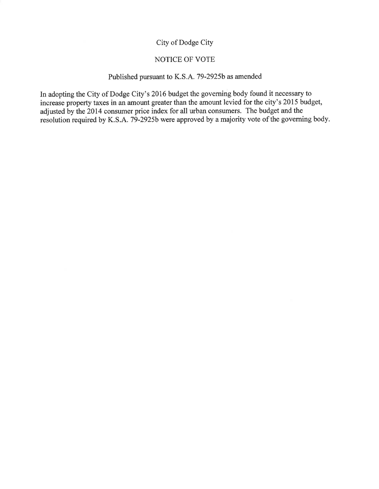## City of Dodge City

#### NOTICE OF VOTE

#### Published pursuant to K.S.A. 79-2925b as amended

In adopting the City of Dodge City's 2016 budget the governing body found it necessary to increase property taxes in an amount greater than the amount levied for the city's 2015 budget, adjusted by the 2014 consumer price index for all urban consumers. The budget and the resolution required by K.S.A. 79-2925b were approved by a majority vote of the governing body.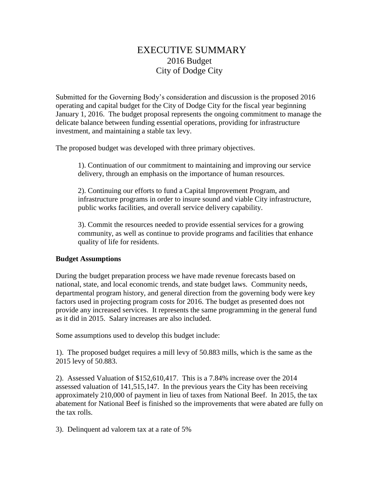# EXECUTIVE SUMMARY 2016 Budget City of Dodge City

Submitted for the Governing Body's consideration and discussion is the proposed 2016 operating and capital budget for the City of Dodge City for the fiscal year beginning January 1, 2016. The budget proposal represents the ongoing commitment to manage the delicate balance between funding essential operations, providing for infrastructure investment, and maintaining a stable tax levy.

The proposed budget was developed with three primary objectives.

1). Continuation of our commitment to maintaining and improving our service delivery, through an emphasis on the importance of human resources.

2). Continuing our efforts to fund a Capital Improvement Program, and infrastructure programs in order to insure sound and viable City infrastructure, public works facilities, and overall service delivery capability.

3). Commit the resources needed to provide essential services for a growing community, as well as continue to provide programs and facilities that enhance quality of life for residents.

#### **Budget Assumptions**

During the budget preparation process we have made revenue forecasts based on national, state, and local economic trends, and state budget laws. Community needs, departmental program history, and general direction from the governing body were key factors used in projecting program costs for 2016. The budget as presented does not provide any increased services. It represents the same programming in the general fund as it did in 2015. Salary increases are also included.

Some assumptions used to develop this budget include:

1). The proposed budget requires a mill levy of 50.883 mills, which is the same as the 2015 levy of 50.883.

2). Assessed Valuation of \$152,610,417. This is a 7.84% increase over the 2014 assessed valuation of 141,515,147. In the previous years the City has been receiving approximately 210,000 of payment in lieu of taxes from National Beef. In 2015, the tax abatement for National Beef is finished so the improvements that were abated are fully on the tax rolls.

3). Delinquent ad valorem tax at a rate of 5%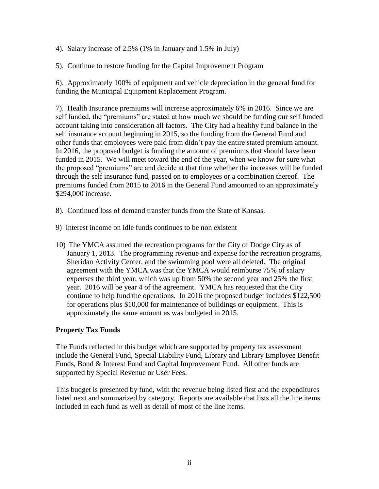4). Salary increase of 2.5% (1% in January and 1.5% in July)

5). Continue to restore funding for the Capital Improvement Program

6). Approximately 100% of equipment and vehicle depreciation in the general fund for funding the Municipal Equipment Replacement Program.

7). Health Insurance premiums will increase approximately 6% in 2016. Since we are self funded, the "premiums" are stated at how much we should be funding our self funded account taking into consideration all factors. The City had a healthy fund balance in the self insurance account beginning in 2015, so the funding from the General Fund and other funds that employees were paid from didn't pay the entire stated premium amount. In 2016, the proposed budget is funding the amount of premiums that should have been funded in 2015. We will meet toward the end of the year, when we know for sure what the proposed "premiums" are and decide at that time whether the increases will be funded through the self insurance fund, passed on to employees or a combination thereof. The premiums funded from 2015 to 2016 in the General Fund amounted to an approximately \$294,000 increase.

- 8). Continued loss of demand transfer funds from the State of Kansas.
- 9) Interest income on idle funds continues to be non existent
- 10) The YMCA assumed the recreation programs for the City of Dodge City as of January 1, 2013. The programming revenue and expense for the recreation programs, Sheridan Activity Center, and the swimming pool were all deleted. The original agreement with the YMCA was that the YMCA would reimburse 75% of salary expenses the third year, which was up from 50% the second year and 25% the first year. 2016 will be year 4 of the agreement. YMCA has requested that the City continue to help fund the operations. In 2016 the proposed budget includes \$122,500 for operations plus \$10,000 for maintenance of buildings or equipment. This is approximately the same amount as was budgeted in 2015.

### **Property Tax Funds**

The Funds reflected in this budget which are supported by property tax assessment include the General Fund, Special Liability Fund, Library and Library Employee Benefit Funds, Bond & Interest Fund and Capital Improvement Fund. All other funds are supported by Special Revenue or User Fees.

This budget is presented by fund, with the revenue being listed first and the expenditures listed next and summarized by category. Reports are available that lists all the line items included in each fund as well as detail of most of the line items.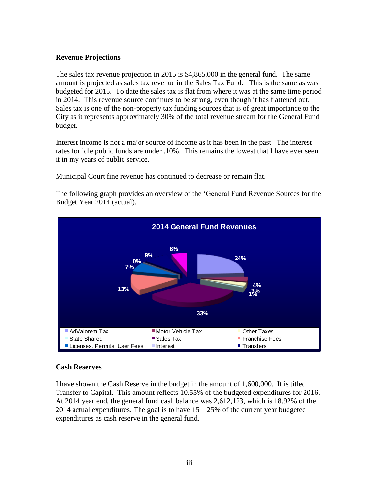#### **Revenue Projections**

The sales tax revenue projection in 2015 is \$4,865,000 in the general fund. The same amount is projected as sales tax revenue in the Sales Tax Fund. This is the same as was budgeted for 2015. To date the sales tax is flat from where it was at the same time period in 2014. This revenue source continues to be strong, even though it has flattened out. Sales tax is one of the non-property tax funding sources that is of great importance to the City as it represents approximately 30% of the total revenue stream for the General Fund budget.

Interest income is not a major source of income as it has been in the past. The interest rates for idle public funds are under .10%. This remains the lowest that I have ever seen it in my years of public service.

Municipal Court fine revenue has continued to decrease or remain flat.

The following graph provides an overview of the 'General Fund Revenue Sources for the Budget Year 2014 (actual).



### **Cash Reserves**

I have shown the Cash Reserve in the budget in the amount of 1,600,000. It is titled Transfer to Capital. This amount reflects 10.55% of the budgeted expenditures for 2016. At 2014 year end, the general fund cash balance was 2,612,123, which is 18.92% of the 2014 actual expenditures. The goal is to have  $15 - 25\%$  of the current year budgeted expenditures as cash reserve in the general fund.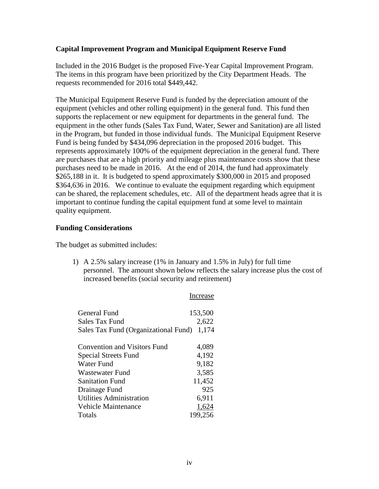#### **Capital Improvement Program and Municipal Equipment Reserve Fund**

Included in the 2016 Budget is the proposed Five-Year Capital Improvement Program. The items in this program have been prioritized by the City Department Heads. The requests recommended for 2016 total \$449,442.

The Municipal Equipment Reserve Fund is funded by the depreciation amount of the equipment (vehicles and other rolling equipment) in the general fund. This fund then supports the replacement or new equipment for departments in the general fund. The equipment in the other funds (Sales Tax Fund, Water, Sewer and Sanitation) are all listed in the Program, but funded in those individual funds. The Municipal Equipment Reserve Fund is being funded by \$434,096 depreciation in the proposed 2016 budget. This represents approximately 100% of the equipment depreciation in the general fund. There are purchases that are a high priority and mileage plus maintenance costs show that these purchases need to be made in 2016. At the end of 2014, the fund had approximately \$265,188 in it. It is budgeted to spend approximately \$300,000 in 2015 and proposed \$364,636 in 2016. We continue to evaluate the equipment regarding which equipment can be shared, the replacement schedules, etc. All of the department heads agree that it is important to continue funding the capital equipment fund at some level to maintain quality equipment.

#### **Funding Considerations**

The budget as submitted includes:

1) A 2.5% salary increase (1% in January and 1.5% in July) for full time personnel. The amount shown below reflects the salary increase plus the cost of increased benefits (social security and retirement)

Increase

| General Fund                         | 153,500 |
|--------------------------------------|---------|
| Sales Tax Fund                       | 2,622   |
| Sales Tax Fund (Organizational Fund) | 1,174   |
|                                      |         |
| Convention and Visitors Fund         | 4,089   |
| Special Streets Fund                 | 4,192   |
| Water Fund                           | 9,182   |
| Wastewater Fund                      | 3,585   |
| <b>Sanitation Fund</b>               | 11,452  |
| Drainage Fund                        | 925     |
| Utilities Administration             | 6,911   |
| Vehicle Maintenance                  | 1,624   |
| Totals                               | 199,256 |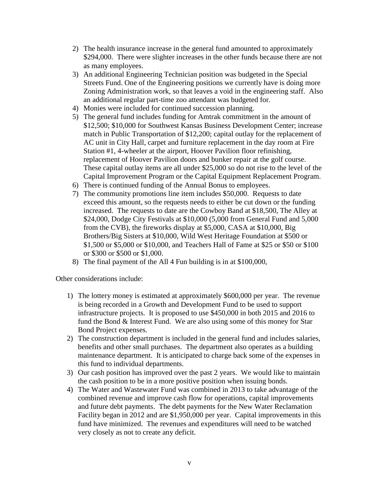- 2) The health insurance increase in the general fund amounted to approximately \$294,000. There were slighter increases in the other funds because there are not as many employees.
- 3) An additional Engineering Technician position was budgeted in the Special Streets Fund. One of the Engineering positions we currently have is doing more Zoning Administration work, so that leaves a void in the engineering staff. Also an additional regular part-time zoo attendant was budgeted for.
- 4) Monies were included for continued succession planning.
- 5) The general fund includes funding for Amtrak commitment in the amount of \$12,500; \$10,000 for Southwest Kansas Business Development Center; increase match in Public Transportation of \$12,200; capital outlay for the replacement of AC unit in City Hall, carpet and furniture replacement in the day room at Fire Station #1, 4-wheeler at the airport, Hoover Pavilion floor refinishing, replacement of Hoover Pavilion doors and bunker repair at the golf course. These capital outlay items are all under \$25,000 so do not rise to the level of the Capital Improvement Program or the Capital Equipment Replacement Program.
- 6) There is continued funding of the Annual Bonus to employees.
- 7) The community promotions line item includes \$50,000. Requests to date exceed this amount, so the requests needs to either be cut down or the funding increased. The requests to date are the Cowboy Band at \$18,500, The Alley at \$24,000, Dodge City Festivals at \$10,000 (5,000 from General Fund and 5,000 from the CVB), the fireworks display at \$5,000, CASA at \$10,000, Big Brothers/Big Sisters at \$10,000, Wild West Heritage Foundation at \$500 or \$1,500 or \$5,000 or \$10,000, and Teachers Hall of Fame at \$25 or \$50 or \$100 or \$300 or \$500 or \$1,000.
- 8) The final payment of the All 4 Fun building is in at \$100,000,

Other considerations include:

- 1) The lottery money is estimated at approximately \$600,000 per year. The revenue is being recorded in a Growth and Development Fund to be used to support infrastructure projects. It is proposed to use \$450,000 in both 2015 and 2016 to fund the Bond & Interest Fund. We are also using some of this money for Star Bond Project expenses.
- 2) The construction department is included in the general fund and includes salaries, benefits and other small purchases. The department also operates as a building maintenance department. It is anticipated to charge back some of the expenses in this fund to individual departments.
- 3) Our cash position has improved over the past 2 years. We would like to maintain the cash position to be in a more positive position when issuing bonds.
- 4) The Water and Wastewater Fund was combined in 2013 to take advantage of the combined revenue and improve cash flow for operations, capital improvements and future debt payments. The debt payments for the New Water Reclamation Facility began in 2012 and are \$1,950,000 per year. Capital improvements in this fund have minimized. The revenues and expenditures will need to be watched very closely as not to create any deficit.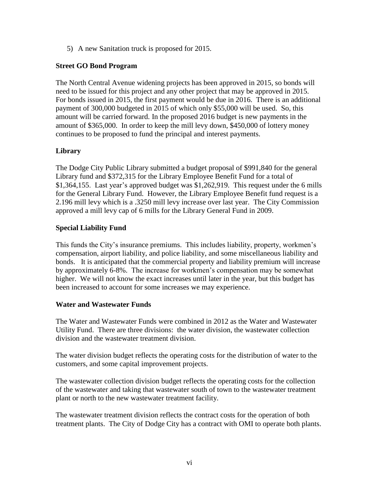5) A new Sanitation truck is proposed for 2015.

#### **Street GO Bond Program**

The North Central Avenue widening projects has been approved in 2015, so bonds will need to be issued for this project and any other project that may be approved in 2015. For bonds issued in 2015, the first payment would be due in 2016. There is an additional payment of 300,000 budgeted in 2015 of which only \$55,000 will be used. So, this amount will be carried forward. In the proposed 2016 budget is new payments in the amount of \$365,000. In order to keep the mill levy down, \$450,000 of lottery money continues to be proposed to fund the principal and interest payments.

### **Library**

The Dodge City Public Library submitted a budget proposal of \$991,840 for the general Library fund and \$372,315 for the Library Employee Benefit Fund for a total of \$1,364,155. Last year's approved budget was \$1,262,919. This request under the 6 mills for the General Library Fund. However, the Library Employee Benefit fund request is a 2.196 mill levy which is a .3250 mill levy increase over last year. The City Commission approved a mill levy cap of 6 mills for the Library General Fund in 2009.

### **Special Liability Fund**

This funds the City's insurance premiums. This includes liability, property, workmen's compensation, airport liability, and police liability, and some miscellaneous liability and bonds. It is anticipated that the commercial property and liability premium will increase by approximately 6-8%. The increase for workmen's compensation may be somewhat higher. We will not know the exact increases until later in the year, but this budget has been increased to account for some increases we may experience.

### **Water and Wastewater Funds**

The Water and Wastewater Funds were combined in 2012 as the Water and Wastewater Utility Fund. There are three divisions: the water division, the wastewater collection division and the wastewater treatment division.

The water division budget reflects the operating costs for the distribution of water to the customers, and some capital improvement projects.

The wastewater collection division budget reflects the operating costs for the collection of the wastewater and taking that wastewater south of town to the wastewater treatment plant or north to the new wastewater treatment facility.

The wastewater treatment division reflects the contract costs for the operation of both treatment plants. The City of Dodge City has a contract with OMI to operate both plants.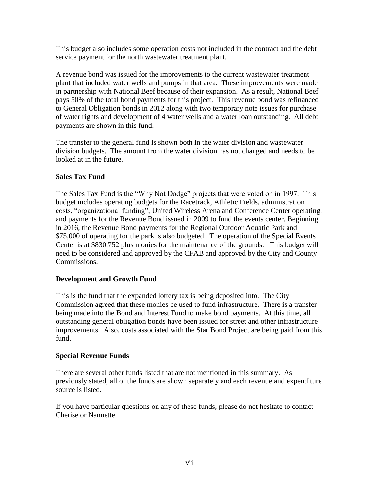This budget also includes some operation costs not included in the contract and the debt service payment for the north wastewater treatment plant.

A revenue bond was issued for the improvements to the current wastewater treatment plant that included water wells and pumps in that area. These improvements were made in partnership with National Beef because of their expansion. As a result, National Beef pays 50% of the total bond payments for this project. This revenue bond was refinanced to General Obligation bonds in 2012 along with two temporary note issues for purchase of water rights and development of 4 water wells and a water loan outstanding. All debt payments are shown in this fund.

The transfer to the general fund is shown both in the water division and wastewater division budgets. The amount from the water division has not changed and needs to be looked at in the future.

## **Sales Tax Fund**

The Sales Tax Fund is the "Why Not Dodge" projects that were voted on in 1997. This budget includes operating budgets for the Racetrack, Athletic Fields, administration costs, "organizational funding", United Wireless Arena and Conference Center operating, and payments for the Revenue Bond issued in 2009 to fund the events center. Beginning in 2016, the Revenue Bond payments for the Regional Outdoor Aquatic Park and \$75,000 of operating for the park is also budgeted. The operation of the Special Events Center is at \$830,752 plus monies for the maintenance of the grounds. This budget will need to be considered and approved by the CFAB and approved by the City and County Commissions.

### **Development and Growth Fund**

This is the fund that the expanded lottery tax is being deposited into. The City Commission agreed that these monies be used to fund infrastructure. There is a transfer being made into the Bond and Interest Fund to make bond payments. At this time, all outstanding general obligation bonds have been issued for street and other infrastructure improvements. Also, costs associated with the Star Bond Project are being paid from this fund.

### **Special Revenue Funds**

There are several other funds listed that are not mentioned in this summary. As previously stated, all of the funds are shown separately and each revenue and expenditure source is listed.

If you have particular questions on any of these funds, please do not hesitate to contact Cherise or Nannette.